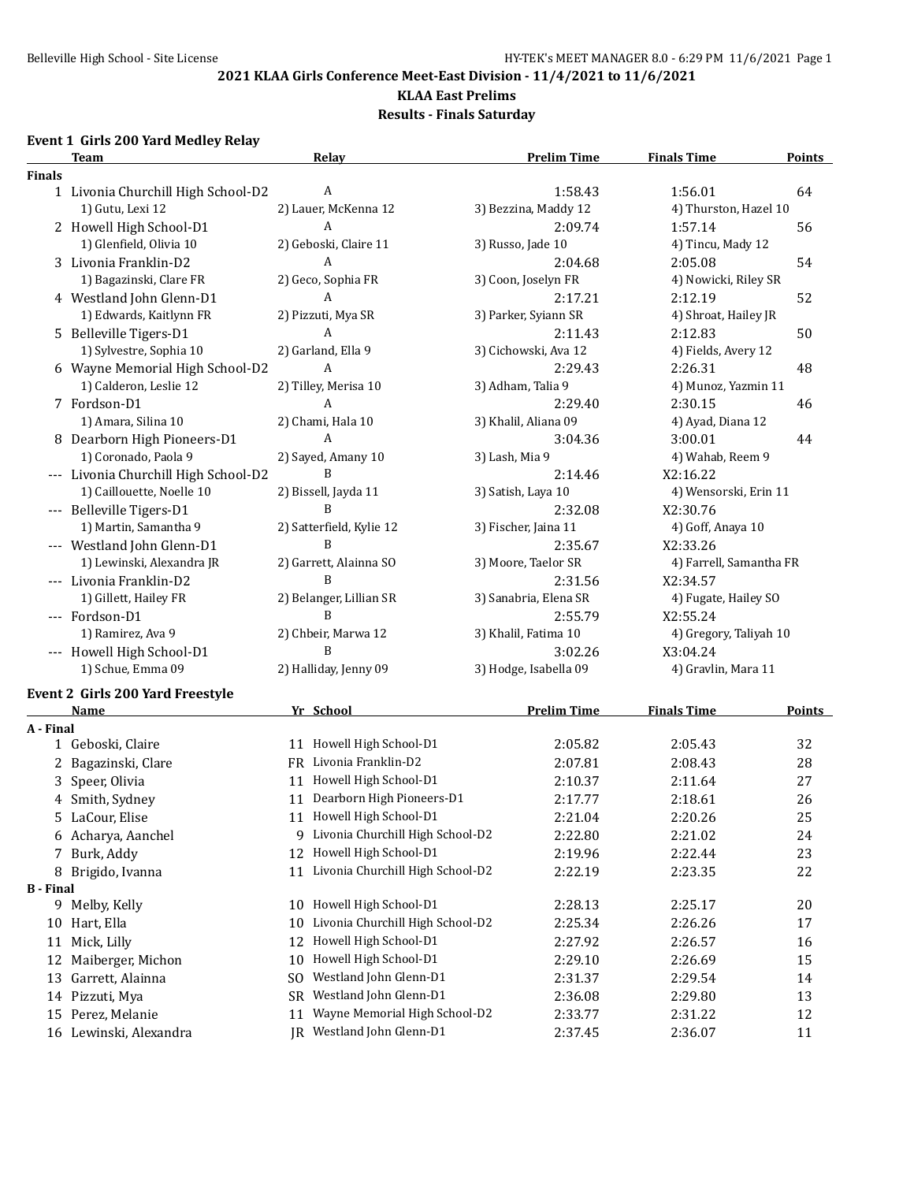#### **KLAA East Prelims**

**Results - Finals Saturday**

# **Event 1 Girls 200 Yard Medley Relay**

|                  | <b>Team</b>                             | Relay                                  | <b>Prelim Time</b>    | <b>Finals Time</b>      | <b>Points</b> |
|------------------|-----------------------------------------|----------------------------------------|-----------------------|-------------------------|---------------|
| <b>Finals</b>    |                                         |                                        |                       |                         |               |
|                  | 1 Livonia Churchill High School-D2      | A                                      | 1:58.43               | 1:56.01                 | 64            |
|                  | 1) Gutu, Lexi 12                        | 2) Lauer, McKenna 12                   | 3) Bezzina, Maddy 12  | 4) Thurston, Hazel 10   |               |
|                  | 2 Howell High School-D1                 | A                                      | 2:09.74               | 1:57.14                 | 56            |
|                  | 1) Glenfield, Olivia 10                 | 2) Geboski, Claire 11                  | 3) Russo, Jade 10     | 4) Tincu, Mady 12       |               |
|                  | 3 Livonia Franklin-D2                   | A                                      | 2:04.68               | 2:05.08                 | 54            |
|                  | 1) Bagazinski, Clare FR                 | 2) Geco, Sophia FR                     | 3) Coon, Joselyn FR   | 4) Nowicki, Riley SR    |               |
|                  | 4 Westland John Glenn-D1                | A                                      | 2:17.21               | 2:12.19                 | 52            |
|                  | 1) Edwards, Kaitlynn FR                 | 2) Pizzuti, Mya SR                     | 3) Parker, Syiann SR  | 4) Shroat, Hailey JR    |               |
|                  | 5 Belleville Tigers-D1                  | A                                      | 2:11.43               | 2:12.83                 | 50            |
|                  | 1) Sylvestre, Sophia 10                 | 2) Garland, Ella 9                     | 3) Cichowski, Ava 12  | 4) Fields, Avery 12     |               |
|                  | 6 Wayne Memorial High School-D2         | A                                      | 2:29.43               | 2:26.31                 | 48            |
|                  | 1) Calderon, Leslie 12                  | 2) Tilley, Merisa 10                   | 3) Adham, Talia 9     | 4) Munoz, Yazmin 11     |               |
|                  | 7 Fordson-D1                            | A                                      | 2:29.40               | 2:30.15                 | 46            |
|                  | 1) Amara, Silina 10                     | 2) Chami, Hala 10                      | 3) Khalil, Aliana 09  | 4) Ayad, Diana 12       |               |
|                  | 8 Dearborn High Pioneers-D1             | A                                      | 3:04.36               | 3:00.01                 | 44            |
|                  | 1) Coronado, Paola 9                    | 2) Sayed, Amany 10                     | 3) Lash, Mia 9        | 4) Wahab, Reem 9        |               |
|                  | --- Livonia Churchill High School-D2    | B                                      | 2:14.46               | X2:16.22                |               |
|                  | 1) Caillouette, Noelle 10               | 2) Bissell, Jayda 11                   | 3) Satish, Laya 10    | 4) Wensorski, Erin 11   |               |
|                  | --- Belleville Tigers-D1                | B                                      | 2:32.08               | X2:30.76                |               |
|                  | 1) Martin, Samantha 9                   | 2) Satterfield, Kylie 12               | 3) Fischer, Jaina 11  | 4) Goff, Anaya 10       |               |
|                  | --- Westland John Glenn-D1              | B                                      | 2:35.67               | X2:33.26                |               |
|                  | 1) Lewinski, Alexandra JR               | 2) Garrett, Alainna SO                 | 3) Moore, Taelor SR   | 4) Farrell, Samantha FR |               |
|                  | --- Livonia Franklin-D2                 | B                                      | 2:31.56               | X2:34.57                |               |
|                  | 1) Gillett, Hailey FR                   | 2) Belanger, Lillian SR                | 3) Sanabria, Elena SR | 4) Fugate, Hailey SO    |               |
|                  | --- Fordson-D1                          | B                                      | 2:55.79               | X2:55.24                |               |
|                  | 1) Ramirez, Ava 9                       | 2) Chbeir, Marwa 12                    | 3) Khalil, Fatima 10  | 4) Gregory, Taliyah 10  |               |
|                  | --- Howell High School-D1               | B                                      | 3:02.26               | X3:04.24                |               |
|                  | 1) Schue, Emma 09                       | 2) Halliday, Jenny 09                  | 3) Hodge, Isabella 09 | 4) Gravlin, Mara 11     |               |
|                  |                                         |                                        |                       |                         |               |
|                  | <b>Event 2 Girls 200 Yard Freestyle</b> |                                        |                       |                         |               |
|                  | <b>Name</b>                             | Yr School                              | <b>Prelim Time</b>    | <b>Finals Time</b>      | <b>Points</b> |
| A - Final        |                                         |                                        |                       |                         |               |
|                  | 1 Geboski, Claire                       | 11 Howell High School-D1               | 2:05.82               | 2:05.43                 | 32            |
|                  | 2 Bagazinski, Clare                     | FR Livonia Franklin-D2                 | 2:07.81               | 2:08.43                 | 28            |
|                  | 3 Speer, Olivia                         | 11 Howell High School-D1               | 2:10.37               | 2:11.64                 | 27            |
|                  | 4 Smith, Sydney                         | 11 Dearborn High Pioneers-D1           | 2:17.77               | 2:18.61                 | 26            |
|                  | 5 LaCour, Elise                         | 11 Howell High School-D1               | 2:21.04               | 2:20.26                 | 25            |
|                  | 6 Acharya, Aanchel                      | 9 Livonia Churchill High School-D2     | 2:22.80               | 2:21.02                 | 24            |
|                  | 7 Burk, Addy                            | Howell High School-D1<br>12            | 2:19.96               | 2:22.44                 | 23            |
|                  | 8 Brigido, Ivanna                       | Livonia Churchill High School-D2<br>11 | 2:22.19               | 2:23.35                 | 22            |
| <b>B</b> - Final |                                         |                                        |                       |                         |               |
|                  | 9 Melby, Kelly                          | 10 Howell High School-D1               | 2:28.13               | 2:25.17                 | 20            |
|                  | 10 Hart, Ella                           | Livonia Churchill High School-D2<br>10 | 2:25.34               | 2:26.26                 | 17            |
|                  | 11 Mick, Lilly                          | Howell High School-D1<br>12            | 2:27.92               | 2:26.57                 | 16            |
|                  | 12 Maiberger, Michon                    | Howell High School-D1<br>10            | 2:29.10               | 2:26.69                 | 15            |
|                  | 13 Garrett, Alainna                     | Westland John Glenn-D1<br>SO           | 2:31.37               | 2:29.54                 | 14            |
|                  | 14 Pizzuti, Mya                         | Westland John Glenn-D1<br>SR           | 2:36.08               | 2:29.80                 | 13            |
|                  | 15 Perez, Melanie                       | Wayne Memorial High School-D2<br>11    | 2:33.77               | 2:31.22                 | 12            |
|                  | 16 Lewinski, Alexandra                  | JR Westland John Glenn-D1              | 2:37.45               | 2:36.07                 | 11            |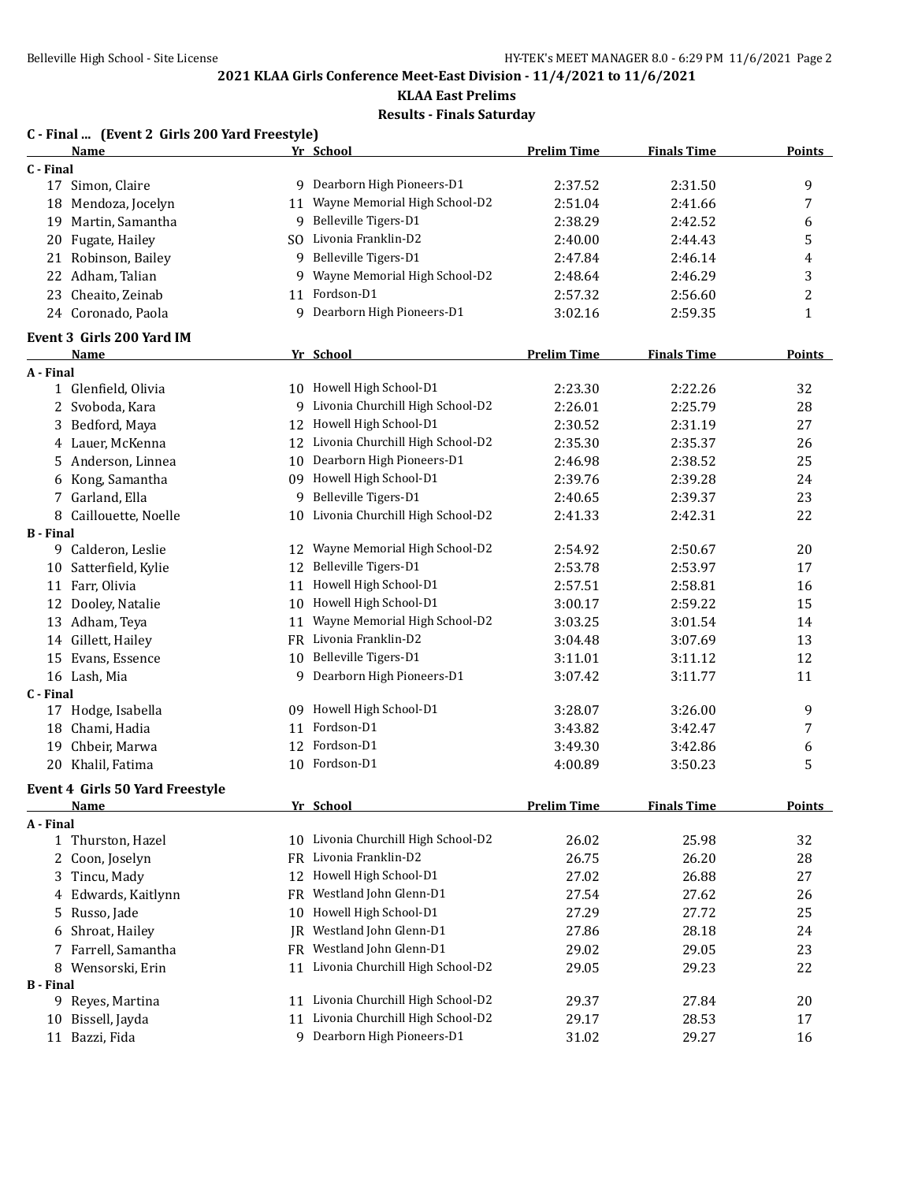**KLAA East Prelims**

**Results - Finals Saturday**

|                  | C - Final  (Event 2 Girls 200 Yard Freestyle) |          |                                     |                    |                    |               |
|------------------|-----------------------------------------------|----------|-------------------------------------|--------------------|--------------------|---------------|
|                  | Name                                          |          | Yr School                           | <b>Prelim Time</b> | <b>Finals Time</b> | <b>Points</b> |
| C - Final        |                                               |          |                                     |                    |                    |               |
|                  | 17 Simon, Claire                              |          | 9 Dearborn High Pioneers-D1         | 2:37.52            | 2:31.50            | 9             |
|                  | 18 Mendoza, Jocelyn                           |          | 11 Wayne Memorial High School-D2    | 2:51.04            | 2:41.66            | 7             |
|                  | 19 Martin, Samantha                           |          | 9 Belleville Tigers-D1              | 2:38.29            | 2:42.52            | 6             |
|                  | 20 Fugate, Hailey                             |          | SO Livonia Franklin-D2              | 2:40.00            | 2:44.43            | 5             |
|                  | 21 Robinson, Bailey                           |          | 9 Belleville Tigers-D1              | 2:47.84            | 2:46.14            | 4             |
|                  | 22 Adham, Talian                              |          | 9 Wayne Memorial High School-D2     | 2:48.64            | 2:46.29            | 3             |
|                  | 23 Cheaito, Zeinab                            |          | 11 Fordson-D1                       | 2:57.32            | 2:56.60            | 2             |
|                  | 24 Coronado, Paola                            |          | 9 Dearborn High Pioneers-D1         | 3:02.16            | 2:59.35            | 1             |
|                  | Event 3 Girls 200 Yard IM                     |          |                                     |                    |                    |               |
|                  | Name                                          |          | Yr School                           | <b>Prelim Time</b> | <b>Finals Time</b> | <b>Points</b> |
| A - Final        |                                               |          |                                     |                    |                    |               |
|                  | 1 Glenfield, Olivia                           |          | 10 Howell High School-D1            | 2:23.30            | 2:22.26            | 32            |
|                  | 2 Svoboda, Kara                               |          | 9 Livonia Churchill High School-D2  | 2:26.01            | 2:25.79            | 28            |
|                  | 3 Bedford, Maya                               |          | 12 Howell High School-D1            | 2:30.52            | 2:31.19            | 27            |
|                  | 4 Lauer, McKenna                              |          | 12 Livonia Churchill High School-D2 | 2:35.30            | 2:35.37            | 26            |
|                  | 5 Anderson, Linnea                            | 10       | Dearborn High Pioneers-D1           | 2:46.98            | 2:38.52            | 25            |
|                  | 6 Kong, Samantha                              |          | 09 Howell High School-D1            | 2:39.76            | 2:39.28            | 24            |
|                  | 7 Garland, Ella                               | 9        | Belleville Tigers-D1                | 2:40.65            | 2:39.37            | 23            |
|                  | 8 Caillouette, Noelle                         |          | 10 Livonia Churchill High School-D2 | 2:41.33            | 2:42.31            | 22            |
| <b>B</b> - Final |                                               |          | Wayne Memorial High School-D2       |                    |                    |               |
|                  | 9 Calderon, Leslie                            | 12<br>12 | Belleville Tigers-D1                | 2:54.92            | 2:50.67            | 20            |
|                  | 10 Satterfield, Kylie                         |          |                                     | 2:53.78            | 2:53.97            | 17            |
|                  | 11 Farr, Olivia                               | 11       | Howell High School-D1               | 2:57.51            | 2:58.81            | 16            |
|                  | 12 Dooley, Natalie                            |          | 10 Howell High School-D1            | 3:00.17            | 2:59.22            | 15            |
|                  | 13 Adham, Teya                                | 11       | Wayne Memorial High School-D2       | 3:03.25            | 3:01.54            | 14            |
|                  | 14 Gillett, Hailey                            |          | FR Livonia Franklin-D2              | 3:04.48            | 3:07.69            | 13            |
|                  | 15 Evans, Essence                             |          | 10 Belleville Tigers-D1             | 3:11.01            | 3:11.12            | 12            |
|                  | 16 Lash, Mia                                  |          | 9 Dearborn High Pioneers-D1         | 3:07.42            | 3:11.77            | 11            |
| C - Final        |                                               |          | 09 Howell High School-D1            | 3:28.07            | 3:26.00            |               |
|                  | 17 Hodge, Isabella                            |          | Fordson-D1                          |                    |                    | 9             |
|                  | 18 Chami, Hadia                               | 11       | Fordson-D1                          | 3:43.82            | 3:42.47            | 7             |
|                  | 19 Chbeir, Marwa                              | 12       |                                     | 3:49.30            | 3:42.86            | 6             |
|                  | 20 Khalil, Fatima                             | 10       | Fordson-D1                          | 4:00.89            | 3:50.23            | 5             |
|                  | Event 4 Girls 50 Yard Freestyle               |          |                                     |                    |                    |               |
|                  | <u>Name</u>                                   |          | Yr School                           | <b>Prelim Time</b> | <b>Finals Time</b> | <b>Points</b> |
| A - Final        |                                               |          |                                     |                    |                    |               |
|                  | 1 Thurston, Hazel                             |          | 10 Livonia Churchill High School-D2 | 26.02              | 25.98              | 32            |
| 2                | Coon, Joselyn                                 | FR.      | Livonia Franklin-D2                 | 26.75              | 26.20              | 28            |
| 3                | Tincu, Mady                                   |          | 12 Howell High School-D1            | 27.02              | 26.88              | 27            |
| 4                | Edwards, Kaitlynn                             | FR       | Westland John Glenn-D1              | 27.54              | 27.62              | 26            |
| 5                | Russo, Jade                                   | 10       | Howell High School-D1               | 27.29              | 27.72              | 25            |
| 6                | Shroat, Hailey                                | IR       | Westland John Glenn-D1              | 27.86              | 28.18              | 24            |
| 7                | Farrell, Samantha                             | FR       | Westland John Glenn-D1              | 29.02              | 29.05              | 23            |
| 8                | Wensorski, Erin                               | 11       | Livonia Churchill High School-D2    | 29.05              | 29.23              | 22            |
| <b>B</b> - Final |                                               |          |                                     |                    |                    |               |
|                  | 9 Reyes, Martina                              |          | 11 Livonia Churchill High School-D2 | 29.37              | 27.84              | 20            |
| 10               | Bissell, Jayda                                | 11       | Livonia Churchill High School-D2    | 29.17              | 28.53              | 17            |
|                  | 11 Bazzi, Fida                                |          | 9 Dearborn High Pioneers-D1         | 31.02              | 29.27              | 16            |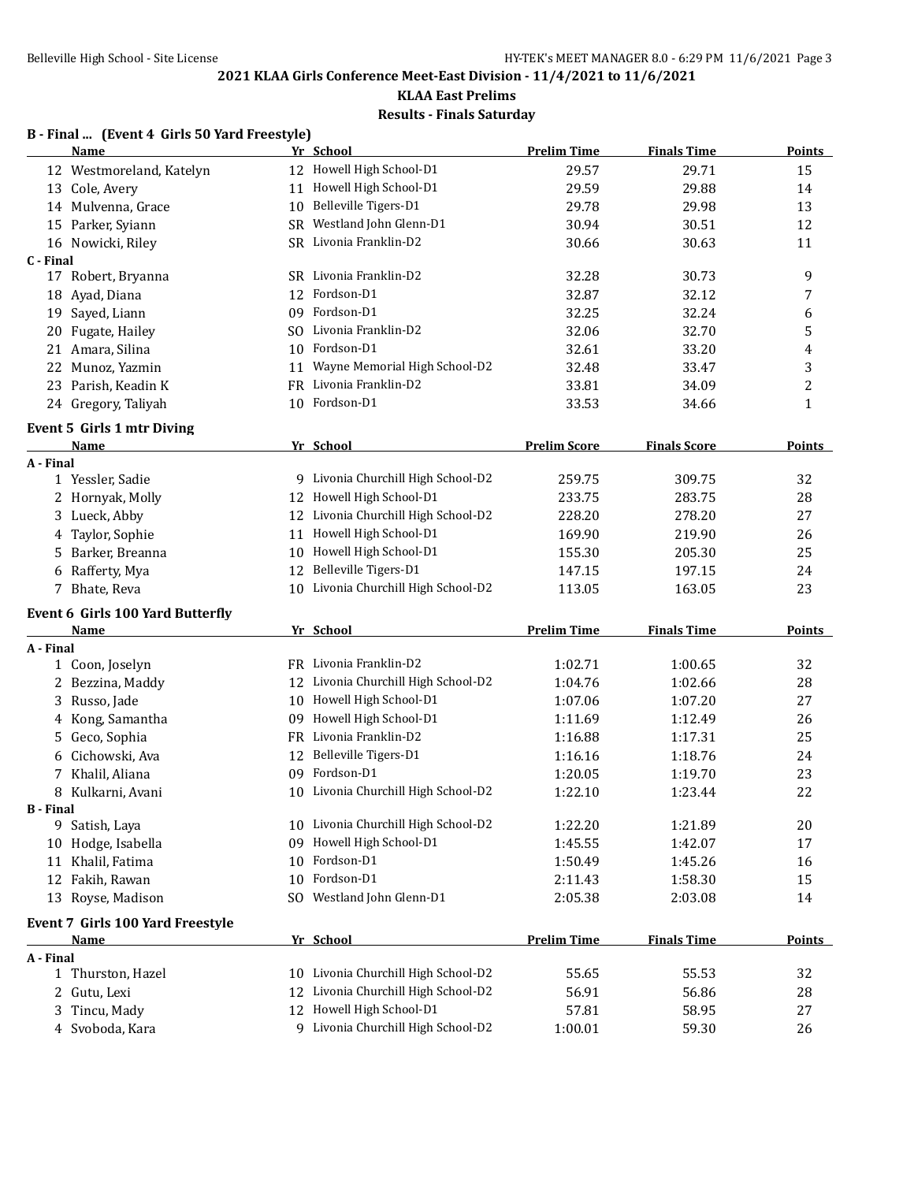# **KLAA East Prelims**

# **Results - Finals Saturday**

## **B - Final ... (Event 4 Girls 50 Yard Freestyle)**

|                  | <b>Name</b>                             |     | Yr School                           | <b>Prelim Time</b>  | <b>Finals Time</b>  | <b>Points</b> |
|------------------|-----------------------------------------|-----|-------------------------------------|---------------------|---------------------|---------------|
|                  | 12 Westmoreland, Katelyn                |     | 12 Howell High School-D1            | 29.57               | 29.71               | 15            |
|                  | 13 Cole, Avery                          | 11  | Howell High School-D1               | 29.59               | 29.88               | 14            |
|                  | 14 Mulvenna, Grace                      | 10  | Belleville Tigers-D1                | 29.78               | 29.98               | 13            |
|                  | 15 Parker, Syiann                       | SR  | Westland John Glenn-D1              | 30.94               | 30.51               | 12            |
|                  | 16 Nowicki, Riley                       |     | SR Livonia Franklin-D2              | 30.66               | 30.63               | 11            |
| C - Final        |                                         |     |                                     |                     |                     |               |
|                  | 17 Robert, Bryanna                      |     | SR Livonia Franklin-D2              | 32.28               | 30.73               | 9             |
|                  | 18 Ayad, Diana                          | 12  | Fordson-D1                          | 32.87               | 32.12               | 7             |
|                  | 19 Sayed, Liann                         | 09  | Fordson-D1                          | 32.25               | 32.24               | 6             |
| 20               | Fugate, Hailey                          | SO. | Livonia Franklin-D2                 | 32.06               | 32.70               | 5             |
|                  | 21 Amara, Silina                        | 10  | Fordson-D1                          | 32.61               | 33.20               | 4             |
|                  | 22 Munoz, Yazmin                        | 11  | Wayne Memorial High School-D2       | 32.48               | 33.47               | 3             |
|                  | 23 Parish, Keadin K                     | FR  | Livonia Franklin-D2                 | 33.81               | 34.09               | 2             |
|                  | 24 Gregory, Taliyah                     |     | 10 Fordson-D1                       | 33.53               | 34.66               | $\mathbf{1}$  |
|                  | <b>Event 5 Girls 1 mtr Diving</b>       |     |                                     |                     |                     |               |
|                  | Name                                    |     | Yr School                           | <b>Prelim Score</b> | <b>Finals Score</b> | Points        |
| A - Final        |                                         |     |                                     |                     |                     |               |
|                  | 1 Yessler, Sadie                        |     | Livonia Churchill High School-D2    | 259.75              | 309.75              | 32            |
|                  | 2 Hornyak, Molly                        | 12  | Howell High School-D1               | 233.75              | 283.75              | 28            |
|                  | 3 Lueck, Abby                           | 12  | Livonia Churchill High School-D2    | 228.20              | 278.20              | 27            |
| 4                | Taylor, Sophie                          | 11  | Howell High School-D1               | 169.90              | 219.90              | 26            |
|                  | 5 Barker, Breanna                       | 10  | Howell High School-D1               | 155.30              | 205.30              | 25            |
|                  | 6 Rafferty, Mya                         | 12  | Belleville Tigers-D1                | 147.15              | 197.15              | 24            |
|                  | 7 Bhate, Reva                           |     | 10 Livonia Churchill High School-D2 | 113.05              | 163.05              | 23            |
|                  | <b>Event 6 Girls 100 Yard Butterfly</b> |     |                                     |                     |                     |               |
|                  | Name                                    |     | Yr School                           | <b>Prelim Time</b>  | <b>Finals Time</b>  | <b>Points</b> |
| A - Final        |                                         |     |                                     |                     |                     |               |
|                  | 1 Coon, Joselyn                         |     | FR Livonia Franklin-D2              | 1:02.71             | 1:00.65             | 32            |
|                  | 2 Bezzina, Maddy                        |     | 12 Livonia Churchill High School-D2 | 1:04.76             | 1:02.66             | 28            |
|                  | 3 Russo, Jade                           |     | 10 Howell High School-D1            | 1:07.06             | 1:07.20             | 27            |
|                  | 4 Kong, Samantha                        |     | 09 Howell High School-D1            | 1:11.69             | 1:12.49             | 26            |
|                  | 5 Geco, Sophia                          |     | FR Livonia Franklin-D2              | 1:16.88             | 1:17.31             | 25            |
| 6                | Cichowski, Ava                          | 12  | Belleville Tigers-D1                | 1:16.16             | 1:18.76             | 24            |
|                  | 7 Khalil, Aliana                        | 09  | Fordson-D1                          | 1:20.05             | 1:19.70             | 23            |
|                  | 8 Kulkarni, Avani                       | 10  | Livonia Churchill High School-D2    | 1:22.10             | 1:23.44             | 22            |
| <b>B</b> - Final |                                         |     |                                     |                     |                     |               |
|                  | 9 Satish, Laya                          |     | 10 Livonia Churchill High School-D2 | 1:22.20             | 1:21.89             | 20            |
|                  | 10 Hodge, Isabella                      | 09  | Howell High School-D1               | 1:45.55             | 1:42.07             | 17            |
|                  | 11 Khalil, Fatima                       | 10  | Fordson-D1                          | 1:50.49             | 1:45.26             | 16            |
|                  | 12 Fakih, Rawan                         | 10  | Fordson-D1                          | 2:11.43             | 1:58.30             | 15            |
|                  | 13 Royse, Madison                       | SO. | Westland John Glenn-D1              | 2:05.38             | 2:03.08             | 14            |
|                  | Event 7 Girls 100 Yard Freestyle        |     |                                     |                     |                     |               |
|                  | <b>Name</b>                             |     | Yr School                           | <b>Prelim Time</b>  | <b>Finals Time</b>  | Points        |
| A - Final        |                                         |     |                                     |                     |                     |               |
|                  | 1 Thurston, Hazel                       |     | 10 Livonia Churchill High School-D2 | 55.65               | 55.53               | 32            |
|                  | 2 Gutu, Lexi                            | 12  | Livonia Churchill High School-D2    | 56.91               | 56.86               | 28            |
|                  | 3 Tincu, Mady                           | 12  | Howell High School-D1               | 57.81               | 58.95               | 27            |
|                  | 4 Svoboda, Kara                         |     | 9 Livonia Churchill High School-D2  | 1:00.01             | 59.30               | 26            |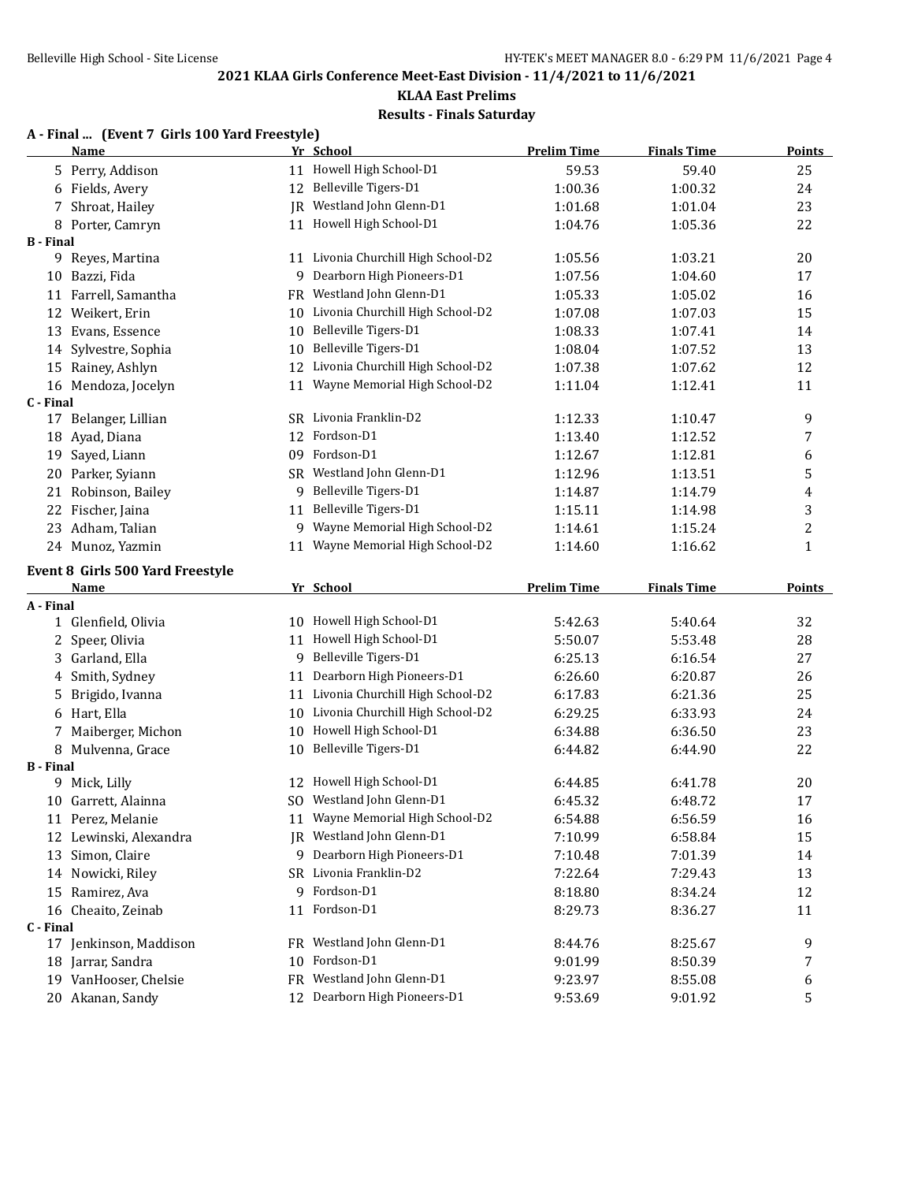## **KLAA East Prelims Results - Finals Saturday**

## **A - Final ... (Event 7 Girls 100 Yard Freestyle)**

|                  | <b>Name</b>                               |    | Yr School                                                 | <b>Prelim Time</b> | <b>Finals Time</b> | <b>Points</b> |
|------------------|-------------------------------------------|----|-----------------------------------------------------------|--------------------|--------------------|---------------|
|                  | 5 Perry, Addison                          |    | 11 Howell High School-D1                                  | 59.53              | 59.40              | 25            |
|                  | 6 Fields, Avery                           | 12 | Belleville Tigers-D1                                      | 1:00.36            | 1:00.32            | 24            |
| 7                | Shroat, Hailey                            |    | JR Westland John Glenn-D1                                 | 1:01.68            | 1:01.04            | 23            |
|                  | 8 Porter, Camryn                          |    | 11 Howell High School-D1                                  | 1:04.76            | 1:05.36            | 22            |
| <b>B</b> - Final |                                           |    |                                                           |                    |                    |               |
|                  | 9 Reyes, Martina                          |    | 11 Livonia Churchill High School-D2                       | 1:05.56            | 1:03.21            | 20            |
| 10               | Bazzi, Fida                               | 9  | Dearborn High Pioneers-D1                                 | 1:07.56            | 1:04.60            | 17            |
|                  | 11 Farrell, Samantha                      |    | FR Westland John Glenn-D1                                 | 1:05.33            | 1:05.02            | 16            |
|                  | 12 Weikert, Erin                          | 10 | Livonia Churchill High School-D2                          | 1:07.08            | 1:07.03            | 15            |
| 13               | Evans, Essence                            | 10 | Belleville Tigers-D1                                      | 1:08.33            | 1:07.41            | 14            |
|                  | 14 Sylvestre, Sophia                      | 10 | Belleville Tigers-D1                                      | 1:08.04            | 1:07.52            | 13            |
|                  | 15 Rainey, Ashlyn                         | 12 | Livonia Churchill High School-D2                          | 1:07.38            | 1:07.62            | 12            |
|                  | 16 Mendoza, Jocelyn                       | 11 | Wayne Memorial High School-D2                             | 1:11.04            | 1:12.41            | 11            |
| C - Final        |                                           |    |                                                           |                    |                    |               |
|                  | 17 Belanger, Lillian                      |    | SR Livonia Franklin-D2                                    | 1:12.33            | 1:10.47            | 9             |
|                  | 18 Ayad, Diana                            | 12 | Fordson-D1                                                | 1:13.40            | 1:12.52            | 7             |
|                  | 19 Sayed, Liann                           |    | 09 Fordson-D1                                             | 1:12.67            | 1:12.81            | 6             |
|                  | 20 Parker, Syiann                         |    | SR Westland John Glenn-D1                                 | 1:12.96            | 1:13.51            | 5             |
|                  | 21 Robinson, Bailey                       | 9  | Belleville Tigers-D1                                      | 1:14.87            | 1:14.79            | 4             |
|                  | 22 Fischer, Jaina                         | 11 | Belleville Tigers-D1                                      | 1:15.11            | 1:14.98            | 3             |
|                  | 23 Adham, Talian                          | 9  | Wayne Memorial High School-D2                             | 1:14.61            | 1:15.24            | 2             |
|                  | 24 Munoz, Yazmin                          | 11 | Wayne Memorial High School-D2                             | 1:14.60            | 1:16.62            | $\mathbf{1}$  |
|                  | Event 8 Girls 500 Yard Freestyle          |    |                                                           |                    |                    |               |
|                  |                                           |    |                                                           |                    |                    |               |
|                  | <b>Name</b>                               |    |                                                           |                    |                    | <b>Points</b> |
| A - Final        |                                           |    | Yr School                                                 | <b>Prelim Time</b> | <b>Finals Time</b> |               |
|                  | 1 Glenfield, Olivia                       |    | 10 Howell High School-D1                                  | 5:42.63            | 5:40.64            | 32            |
|                  | 2 Speer, Olivia                           | 11 | Howell High School-D1                                     | 5:50.07            | 5:53.48            | 28            |
|                  | 3 Garland, Ella                           | 9  | Belleville Tigers-D1                                      | 6:25.13            | 6:16.54            | 27            |
| 4                | Smith, Sydney                             | 11 | Dearborn High Pioneers-D1                                 | 6:26.60            | 6:20.87            | 26            |
| 5                | Brigido, Ivanna                           | 11 | Livonia Churchill High School-D2                          | 6:17.83            | 6:21.36            | 25            |
|                  | 6 Hart, Ella                              | 10 | Livonia Churchill High School-D2                          | 6:29.25            | 6:33.93            | 24            |
| 7                | Maiberger, Michon                         | 10 | Howell High School-D1                                     | 6:34.88            | 6:36.50            | 23            |
|                  | 8 Mulvenna, Grace                         | 10 | Belleville Tigers-D1                                      | 6:44.82            | 6:44.90            | 22            |
| <b>B</b> - Final |                                           |    |                                                           |                    |                    |               |
|                  | 9 Mick, Lilly                             |    | 12 Howell High School-D1                                  | 6:44.85            | 6:41.78            | 20            |
| 10               | Garrett, Alainna                          |    | SO Westland John Glenn-D1                                 | 6:45.32            | 6:48.72            | 17            |
|                  | 11 Perez, Melanie                         |    | 11 Wayne Memorial High School-D2                          | 6:54.88            | 6:56.59            | 16            |
|                  | 12 Lewinski, Alexandra                    |    | JR Westland John Glenn-D1                                 | 7:10.99            | 6:58.84            | 15            |
|                  | 13 Simon, Claire                          | 9  | Dearborn High Pioneers-D1                                 | 7:10.48            | 7:01.39            | 14            |
|                  | 14 Nowicki, Riley                         | SR | Livonia Franklin-D2                                       | 7:22.64            | 7:29.43            | 13            |
| 15               | Ramirez, Ava                              | 9  | Fordson-D1                                                | 8:18.80            | 8:34.24            | 12            |
|                  | 16 Cheaito, Zeinab                        | 11 | Fordson-D1                                                | 8:29.73            | 8:36.27            | 11            |
| C - Final        |                                           |    |                                                           |                    |                    |               |
|                  | 17 Jenkinson, Maddison                    |    | FR Westland John Glenn-D1                                 | 8:44.76            | 8:25.67            | 9             |
| 18               | Jarrar, Sandra                            | 10 | Fordson-D1                                                | 9:01.99            | 8:50.39            | 7             |
|                  | 19 VanHooser, Chelsie<br>20 Akanan, Sandy |    | FR Westland John Glenn-D1<br>12 Dearborn High Pioneers-D1 | 9:23.97<br>9:53.69 | 8:55.08            | 6<br>5        |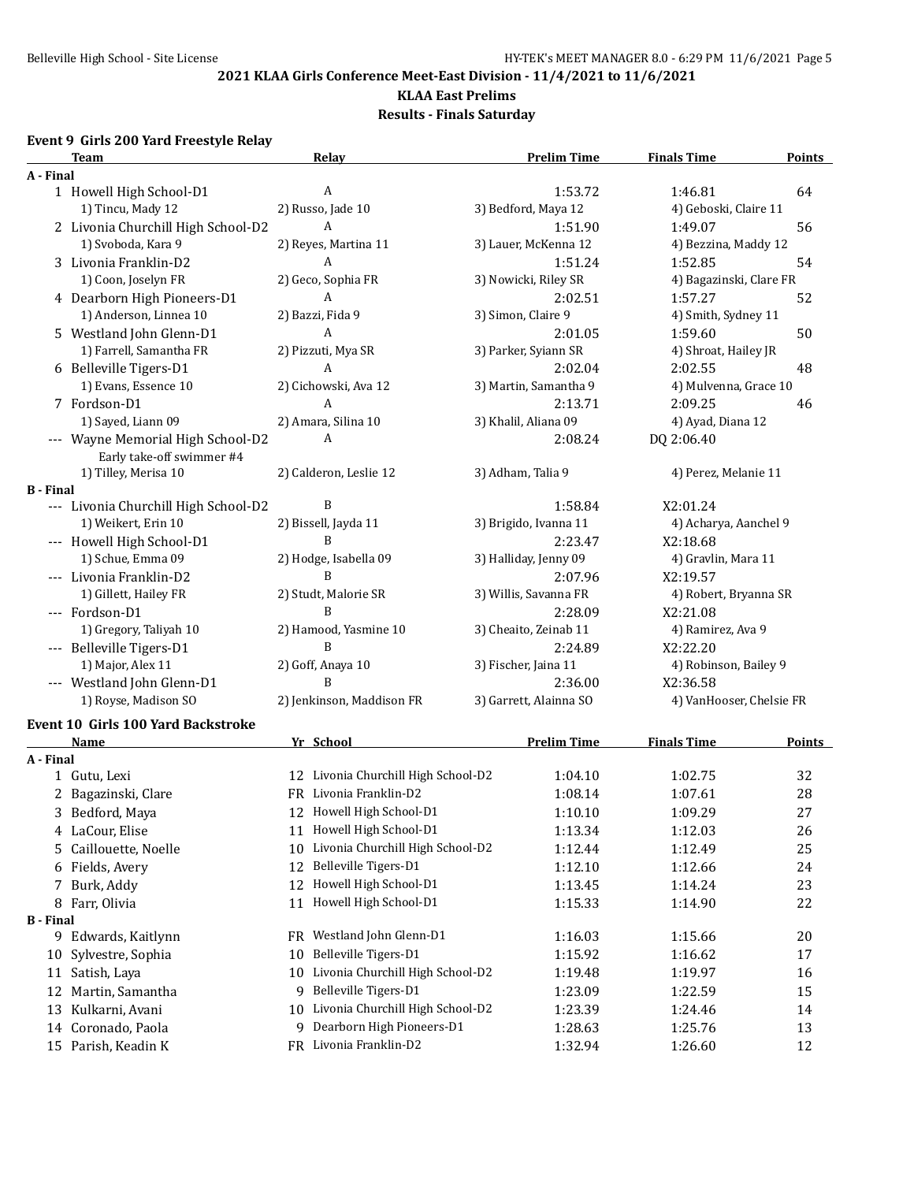#### **KLAA East Prelims**

**Results - Finals Saturday**

# **Event 9 Girls 200 Yard Freestyle Relay**

|                  | <b>Team</b>                               | Relay                                  | <b>Prelim Time</b>     | <b>Finals Time</b>       | <b>Points</b> |
|------------------|-------------------------------------------|----------------------------------------|------------------------|--------------------------|---------------|
| A - Final        |                                           |                                        |                        |                          |               |
|                  | 1 Howell High School-D1                   | A                                      | 1:53.72                | 1:46.81                  | 64            |
|                  | 1) Tincu, Mady 12                         | 2) Russo, Jade 10                      | 3) Bedford, Maya 12    | 4) Geboski, Claire 11    |               |
|                  | 2 Livonia Churchill High School-D2        | A                                      | 1:51.90                | 1:49.07                  | 56            |
|                  | 1) Svoboda, Kara 9                        | 2) Reyes, Martina 11                   | 3) Lauer, McKenna 12   | 4) Bezzina, Maddy 12     |               |
|                  | 3 Livonia Franklin-D2                     | A                                      | 1:51.24                | 1:52.85                  | 54            |
|                  | 1) Coon, Joselyn FR                       | 2) Geco, Sophia FR                     | 3) Nowicki, Riley SR   | 4) Bagazinski, Clare FR  |               |
|                  | 4 Dearborn High Pioneers-D1               | A                                      | 2:02.51                | 1:57.27                  | 52            |
|                  | 1) Anderson, Linnea 10                    | 2) Bazzi, Fida 9                       | 3) Simon, Claire 9     | 4) Smith, Sydney 11      |               |
|                  | 5 Westland John Glenn-D1                  | A                                      | 2:01.05                | 1:59.60                  | 50            |
|                  | 1) Farrell, Samantha FR                   | 2) Pizzuti, Mya SR                     | 3) Parker, Syiann SR   | 4) Shroat, Hailey JR     |               |
|                  | 6 Belleville Tigers-D1                    | A                                      | 2:02.04                | 2:02.55                  | 48            |
|                  | 1) Evans, Essence 10                      | 2) Cichowski, Ava 12                   | 3) Martin, Samantha 9  | 4) Mulvenna, Grace 10    |               |
|                  | 7 Fordson-D1                              | A                                      | 2:13.71                | 2:09.25                  | 46            |
|                  | 1) Sayed, Liann 09                        | 2) Amara, Silina 10                    | 3) Khalil, Aliana 09   | 4) Ayad, Diana 12        |               |
|                  | --- Wayne Memorial High School-D2         | A                                      | 2:08.24                | DQ 2:06.40               |               |
|                  | Early take-off swimmer #4                 |                                        |                        |                          |               |
|                  | 1) Tilley, Merisa 10                      | 2) Calderon, Leslie 12                 | 3) Adham, Talia 9      | 4) Perez, Melanie 11     |               |
| <b>B</b> - Final |                                           |                                        |                        |                          |               |
|                  | --- Livonia Churchill High School-D2      | B                                      | 1:58.84                | X2:01.24                 |               |
|                  | 1) Weikert, Erin 10                       | 2) Bissell, Jayda 11                   | 3) Brigido, Ivanna 11  | 4) Acharya, Aanchel 9    |               |
|                  | --- Howell High School-D1                 | B                                      | 2:23.47                | X2:18.68                 |               |
|                  | 1) Schue, Emma 09                         | 2) Hodge, Isabella 09                  | 3) Halliday, Jenny 09  | 4) Gravlin, Mara 11      |               |
|                  | --- Livonia Franklin-D2                   | B                                      | 2:07.96                | X2:19.57                 |               |
|                  | 1) Gillett, Hailey FR                     | 2) Studt, Malorie SR                   | 3) Willis, Savanna FR  | 4) Robert, Bryanna SR    |               |
|                  | --- Fordson-D1                            | B                                      | 2:28.09                | X2:21.08                 |               |
|                  | 1) Gregory, Taliyah 10                    | 2) Hamood, Yasmine 10                  | 3) Cheaito, Zeinab 11  | 4) Ramirez, Ava 9        |               |
|                  | --- Belleville Tigers-D1                  | B                                      | 2:24.89                | X2:22.20                 |               |
|                  | 1) Major, Alex 11                         | 2) Goff, Anaya 10                      | 3) Fischer, Jaina 11   | 4) Robinson, Bailey 9    |               |
|                  | --- Westland John Glenn-D1                | B                                      | 2:36.00                | X2:36.58                 |               |
|                  | 1) Royse, Madison SO                      | 2) Jenkinson, Maddison FR              | 3) Garrett, Alainna SO | 4) VanHooser, Chelsie FR |               |
|                  | <b>Event 10 Girls 100 Yard Backstroke</b> |                                        |                        |                          |               |
|                  | <b>Name</b>                               | Yr School                              | <b>Prelim Time</b>     | <b>Finals Time</b>       | <b>Points</b> |
| A - Final        |                                           |                                        |                        |                          |               |
|                  | 1 Gutu, Lexi                              | 12 Livonia Churchill High School-D2    | 1:04.10                | 1:02.75                  | 32            |
|                  | 2 Bagazinski, Clare                       | FR Livonia Franklin-D2                 | 1:08.14                | 1:07.61                  | 28            |
|                  | 3 Bedford, Maya                           | 12 Howell High School-D1               | 1:10.10                | 1:09.29                  | 27            |
|                  | 4 LaCour, Elise                           | 11 Howell High School-D1               | 1:13.34                | 1:12.03                  | 26            |
| 5                | Caillouette, Noelle                       | Livonia Churchill High School-D2<br>10 | 1:12.44                | 1:12.49                  | 25            |
|                  | 6 Fields, Avery                           | Belleville Tigers-D1<br>12             | 1:12.10                | 1:12.66                  | 24            |
|                  | 7 Burk, Addy                              | Howell High School-D1<br>12            | 1:13.45                | 1:14.24                  | 23            |
|                  | 8 Farr, Olivia                            | Howell High School-D1<br>11            |                        |                          | 22            |
| <b>B</b> - Final |                                           |                                        | 1:15.33                | 1:14.90                  |               |
|                  | 9 Edwards, Kaitlynn                       | FR Westland John Glenn-D1              | 1:16.03                | 1:15.66                  | 20            |
| 10               | Sylvestre, Sophia                         | Belleville Tigers-D1<br>10             | 1:15.92                | 1:16.62                  | 17            |
|                  | 11 Satish, Laya                           | Livonia Churchill High School-D2<br>10 | 1:19.48                | 1:19.97                  | 16            |
|                  |                                           | Belleville Tigers-D1<br>9.             |                        |                          |               |
|                  | 12 Martin, Samantha                       | 10 Livonia Churchill High School-D2    | 1:23.09<br>1:23.39     | 1:22.59                  | 15            |
| 13               | Kulkarni, Avani                           | 9 Dearborn High Pioneers-D1            |                        | 1:24.46                  | 14            |
|                  | 14 Coronado, Paola                        |                                        | 1:28.63                | 1:25.76                  | 13            |
|                  | 15 Parish, Keadin K                       | FR Livonia Franklin-D2                 | 1:32.94                | 1:26.60                  | 12            |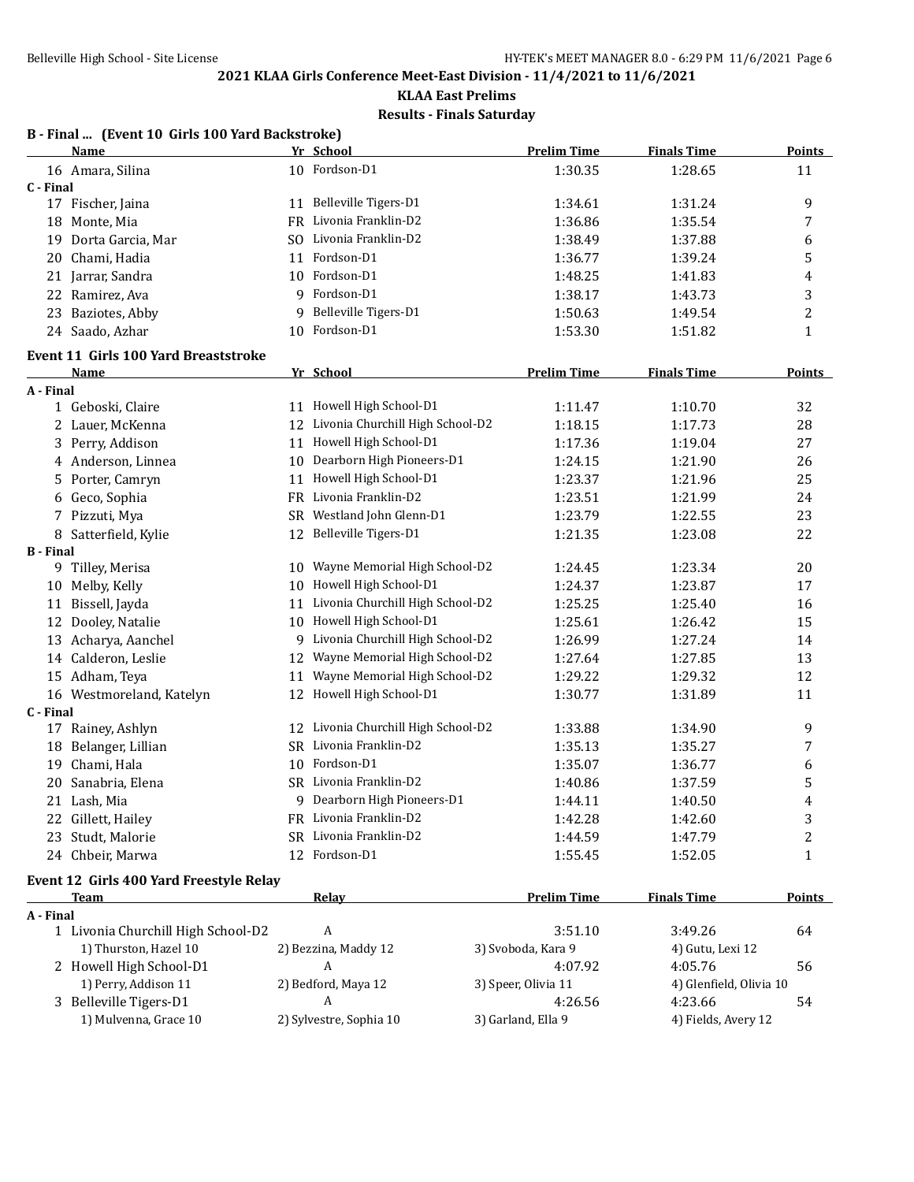# **KLAA East Prelims**

**Results - Finals Saturday**

|                  | B - Final  (Event 10 Girls 100 Yard Backstroke) |     |                                     |                     |                         |                  |
|------------------|-------------------------------------------------|-----|-------------------------------------|---------------------|-------------------------|------------------|
|                  | Name                                            |     | Yr School                           | <b>Prelim Time</b>  | <b>Finals Time</b>      | <b>Points</b>    |
|                  | 16 Amara, Silina                                |     | 10 Fordson-D1                       | 1:30.35             | 1:28.65                 | 11               |
| C - Final        |                                                 |     |                                     |                     |                         |                  |
|                  | 17 Fischer, Jaina                               |     | 11 Belleville Tigers-D1             | 1:34.61             | 1:31.24                 | 9                |
|                  | 18 Monte, Mia                                   |     | FR Livonia Franklin-D2              | 1:36.86             | 1:35.54                 | $\boldsymbol{7}$ |
|                  | 19 Dorta Garcia, Mar                            |     | SO Livonia Franklin-D2              | 1:38.49             | 1:37.88                 | 6                |
| 20               | Chami, Hadia                                    | 11  | Fordson-D1                          | 1:36.77             | 1:39.24                 | 5                |
|                  | 21 Jarrar, Sandra                               | 10  | Fordson-D1                          | 1:48.25             | 1:41.83                 | 4                |
| 22               | Ramirez, Ava                                    |     | 9 Fordson-D1                        | 1:38.17             | 1:43.73                 | 3                |
|                  | 23 Baziotes, Abby                               | 9   | Belleville Tigers-D1                | 1:50.63             | 1:49.54                 | $\overline{c}$   |
|                  | 24 Saado, Azhar                                 |     | 10 Fordson-D1                       | 1:53.30             | 1:51.82                 | $\mathbf{1}$     |
|                  | <b>Event 11 Girls 100 Yard Breaststroke</b>     |     |                                     |                     |                         |                  |
|                  | Name                                            |     | Yr School                           | <b>Prelim Time</b>  | <b>Finals Time</b>      | Points           |
| A - Final        |                                                 |     |                                     |                     |                         |                  |
|                  | 1 Geboski, Claire                               |     | 11 Howell High School-D1            | 1:11.47             | 1:10.70                 | 32               |
|                  | 2 Lauer, McKenna                                | 12  | Livonia Churchill High School-D2    | 1:18.15             | 1:17.73                 | 28               |
|                  | 3 Perry, Addison                                | 11  | Howell High School-D1               | 1:17.36             | 1:19.04                 | 27               |
|                  | 4 Anderson, Linnea                              | 10  | Dearborn High Pioneers-D1           | 1:24.15             | 1:21.90                 | 26               |
| 5.               | Porter, Camryn                                  | 11  | Howell High School-D1               | 1:23.37             | 1:21.96                 | 25               |
| 6                | Geco, Sophia                                    |     | FR Livonia Franklin-D2              | 1:23.51             | 1:21.99                 | 24               |
|                  | 7 Pizzuti, Mya                                  |     | SR Westland John Glenn-D1           | 1:23.79             | 1:22.55                 | 23               |
|                  | 8 Satterfield, Kylie                            |     | 12 Belleville Tigers-D1             | 1:21.35             | 1:23.08                 | 22               |
| <b>B</b> - Final |                                                 |     |                                     |                     |                         |                  |
|                  | 9 Tilley, Merisa                                | 10  | Wayne Memorial High School-D2       | 1:24.45             | 1:23.34                 | 20               |
| 10               | Melby, Kelly                                    | 10  | Howell High School-D1               | 1:24.37             | 1:23.87                 | 17               |
|                  | 11 Bissell, Jayda                               | 11  | Livonia Churchill High School-D2    | 1:25.25             | 1:25.40                 | 16               |
|                  | 12 Dooley, Natalie                              | 10  | Howell High School-D1               | 1:25.61             | 1:26.42                 | 15               |
|                  | 13 Acharya, Aanchel                             | 9.  | Livonia Churchill High School-D2    | 1:26.99             | 1:27.24                 | 14               |
|                  | 14 Calderon, Leslie                             | 12  | Wayne Memorial High School-D2       | 1:27.64             | 1:27.85                 | 13               |
|                  | 15 Adham, Teya                                  | 11  | Wayne Memorial High School-D2       | 1:29.22             | 1:29.32                 | 12               |
|                  | 16 Westmoreland, Katelyn                        |     | 12 Howell High School-D1            | 1:30.77             | 1:31.89                 | 11               |
| C - Final        |                                                 |     |                                     |                     |                         |                  |
|                  | 17 Rainey, Ashlyn                               |     | 12 Livonia Churchill High School-D2 | 1:33.88             | 1:34.90                 | 9                |
|                  | 18 Belanger, Lillian                            |     | SR Livonia Franklin-D2              | 1:35.13             | 1:35.27                 | 7                |
| 19               | Chami, Hala                                     | 10  | Fordson-D1                          | 1:35.07             | 1:36.77                 | 6                |
| 20               | Sanabria, Elena                                 |     | SR Livonia Franklin-D2              | 1:40.86             | 1:37.59                 | 5                |
|                  | 21 Lash, Mia                                    |     | 9 Dearborn High Pioneers-D1         | 1:44.11             | 1:40.50                 | 4                |
|                  | 22 Gillett, Hailey                              |     | FR Livonia Franklin-D2              | 1:42.28             | 1:42.60                 | 3                |
|                  | 23 Studt, Malorie                               | SR. | Livonia Franklin-D2                 | 1:44.59             | 1:47.79                 | 2                |
|                  | 24 Chbeir, Marwa                                |     | 12 Fordson-D1                       | 1:55.45             | 1:52.05                 | $\mathbf{1}$     |
|                  | Event 12 Girls 400 Yard Freestyle Relay         |     |                                     |                     |                         |                  |
|                  | <b>Team</b>                                     |     | <b>Relay</b>                        | <b>Prelim Time</b>  | <b>Finals Time</b>      | <b>Points</b>    |
| A - Final        |                                                 |     |                                     |                     |                         |                  |
|                  | 1 Livonia Churchill High School-D2              |     | A                                   | 3:51.10             | 3:49.26                 | 64               |
|                  | 1) Thurston, Hazel 10                           |     | 2) Bezzina, Maddy 12                | 3) Svoboda, Kara 9  | 4) Gutu, Lexi 12        |                  |
|                  | 2 Howell High School-D1                         |     | A                                   | 4:07.92             | 4:05.76                 | 56               |
|                  | 1) Perry, Addison 11                            |     | 2) Bedford, Maya 12                 | 3) Speer, Olivia 11 | 4) Glenfield, Olivia 10 |                  |
|                  | 3 Belleville Tigers-D1                          |     | A                                   | 4:26.56             | 4:23.66                 | 54               |
|                  | 1) Mulvenna, Grace 10                           |     | 2) Sylvestre, Sophia 10             | 3) Garland, Ella 9  | 4) Fields, Avery 12     |                  |